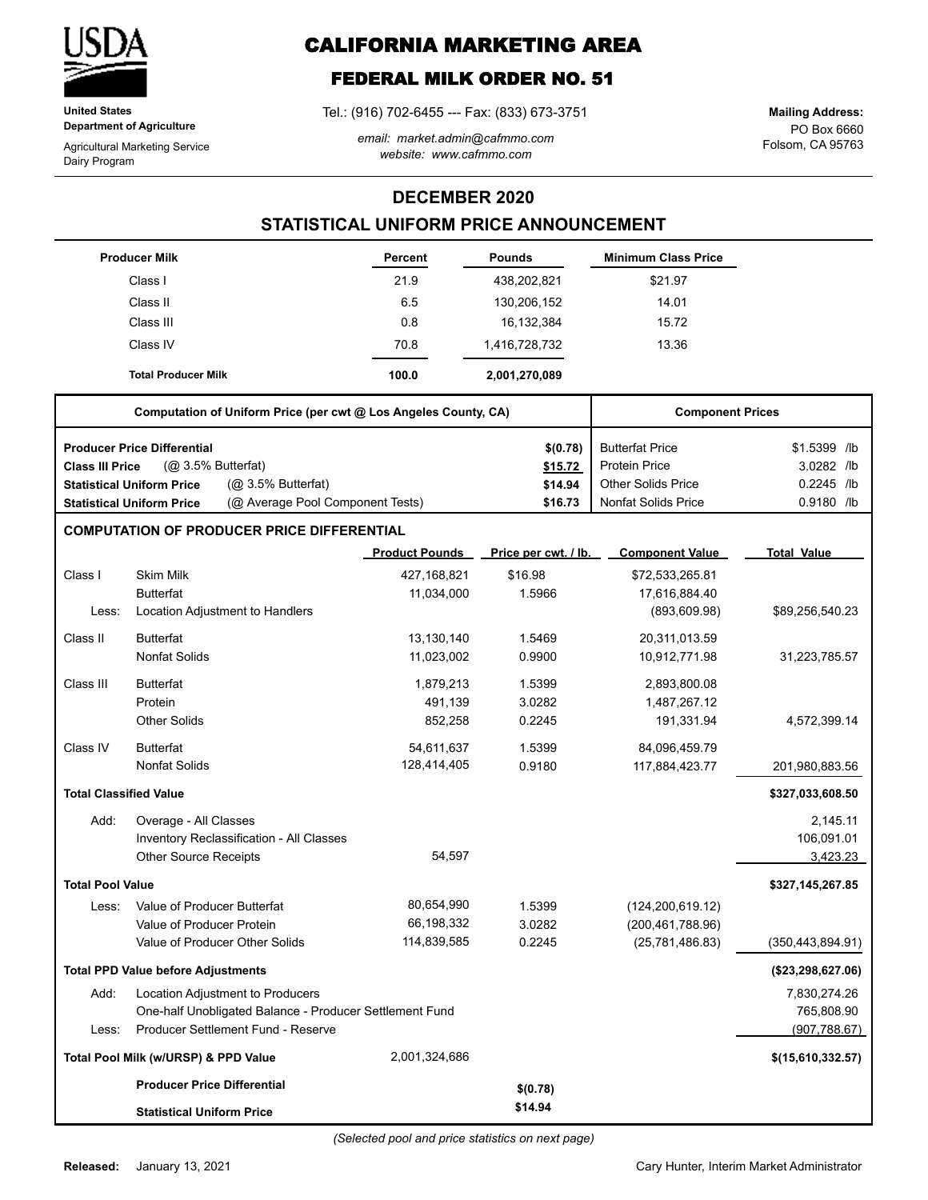

**United States Department of Agriculture**

Agricultural Marketing Service Dairy Program

# **CALIFORNIA MARKETING AREA**

## **FEDERAL MILK ORDER NO. 51**

Tel.: (916) 702-6455 --- Fax: (833) 673-3751

*email: market.admin@cafmmo.com website: www.cafmmo.com*

PO Box 6660 Folsom, CA 95763 **Mailing Address:**

### **DECEMBER 2020**

### **STATISTICAL UNIFORM PRICE ANNOUNCEMENT**

|                               | <b>Producer Milk</b>                                                 | Percent               | <b>Pounds</b>        | <b>Minimum Class Price</b> |                    |
|-------------------------------|----------------------------------------------------------------------|-----------------------|----------------------|----------------------------|--------------------|
|                               | Class I                                                              | 21.9                  | 438,202,821          | \$21.97                    |                    |
|                               | Class II                                                             | 6.5                   | 130,206,152          | 14.01                      |                    |
|                               | Class III                                                            | 0.8                   | 16,132,384           | 15.72                      |                    |
|                               | Class IV                                                             | 70.8                  | 1,416,728,732        | 13.36                      |                    |
|                               | <b>Total Producer Milk</b>                                           | 100.0                 | 2,001,270,089        |                            |                    |
|                               | Computation of Uniform Price (per cwt @ Los Angeles County, CA)      |                       |                      | <b>Component Prices</b>    |                    |
|                               | <b>Producer Price Differential</b>                                   |                       | \$(0.78)             | <b>Butterfat Price</b>     | \$1.5399 /lb       |
| <b>Class III Price</b>        | (@ 3.5% Butterfat)                                                   |                       | \$15.72              | <b>Protein Price</b>       | 3.0282 /lb         |
|                               | (@ 3.5% Butterfat)<br><b>Statistical Uniform Price</b>               |                       | \$14.94              | <b>Other Solids Price</b>  | 0.2245 /lb         |
|                               | (@ Average Pool Component Tests)<br><b>Statistical Uniform Price</b> |                       | \$16.73              | <b>Nonfat Solids Price</b> | 0.9180 /lb         |
|                               | <b>COMPUTATION OF PRODUCER PRICE DIFFERENTIAL</b>                    |                       |                      |                            |                    |
|                               |                                                                      | <b>Product Pounds</b> | Price per cwt. / lb. | <b>Component Value</b>     | <b>Total Value</b> |
| Class I                       | <b>Skim Milk</b>                                                     | 427,168,821           | \$16.98              | \$72,533,265.81            |                    |
|                               | <b>Butterfat</b>                                                     | 11,034,000            | 1.5966               | 17,616,884.40              |                    |
| Less:                         | Location Adjustment to Handlers                                      |                       |                      | (893, 609.98)              | \$89,256,540.23    |
| Class II                      | <b>Butterfat</b>                                                     | 13,130,140            | 1.5469               | 20,311,013.59              |                    |
|                               | <b>Nonfat Solids</b>                                                 | 11,023,002            | 0.9900               | 10,912,771.98              | 31,223,785.57      |
| Class III                     | <b>Butterfat</b>                                                     | 1,879,213             | 1.5399               | 2,893,800.08               |                    |
|                               | Protein                                                              | 491,139               | 3.0282               | 1,487,267.12               |                    |
|                               | <b>Other Solids</b>                                                  | 852,258               | 0.2245               | 191,331.94                 | 4,572,399.14       |
| Class IV                      | <b>Butterfat</b>                                                     | 54,611,637            | 1.5399               | 84,096,459.79              |                    |
|                               | <b>Nonfat Solids</b>                                                 | 128,414,405           | 0.9180               | 117,884,423.77             | 201,980,883.56     |
| <b>Total Classified Value</b> |                                                                      |                       |                      |                            | \$327,033,608.50   |
| Add:                          | Overage - All Classes                                                |                       |                      |                            | 2,145.11           |
|                               | Inventory Reclassification - All Classes                             |                       |                      |                            | 106,091.01         |
|                               | <b>Other Source Receipts</b>                                         | 54,597                |                      |                            | 3,423.23           |
| <b>Total Pool Value</b>       |                                                                      |                       |                      |                            | \$327,145,267.85   |
| Less:                         | Value of Producer Butterfat                                          | 80,654,990            | 1.5399               | (124, 200, 619.12)         |                    |
|                               | Value of Producer Protein                                            | 66,198,332            | 3.0282               | (200, 461, 788.96)         |                    |
|                               | Value of Producer Other Solids                                       | 114,839,585           | 0.2245               | (25, 781, 486.83)          | (350, 443, 894.91) |
|                               | <b>Total PPD Value before Adjustments</b>                            |                       |                      |                            | (\$23,298,627.06)  |
| Add:                          | Location Adjustment to Producers                                     |                       |                      |                            | 7,830,274.26       |
|                               | One-half Unobligated Balance - Producer Settlement Fund              |                       |                      |                            | 765,808.90         |
| Less:                         | Producer Settlement Fund - Reserve                                   |                       |                      |                            | (907, 788.67)      |
|                               | Total Pool Milk (w/URSP) & PPD Value                                 | 2,001,324,686         |                      |                            | \$(15,610,332.57)  |
|                               | <b>Producer Price Differential</b>                                   |                       | \$(0.78)             |                            |                    |
|                               | <b>Statistical Uniform Price</b>                                     |                       | \$14.94              |                            |                    |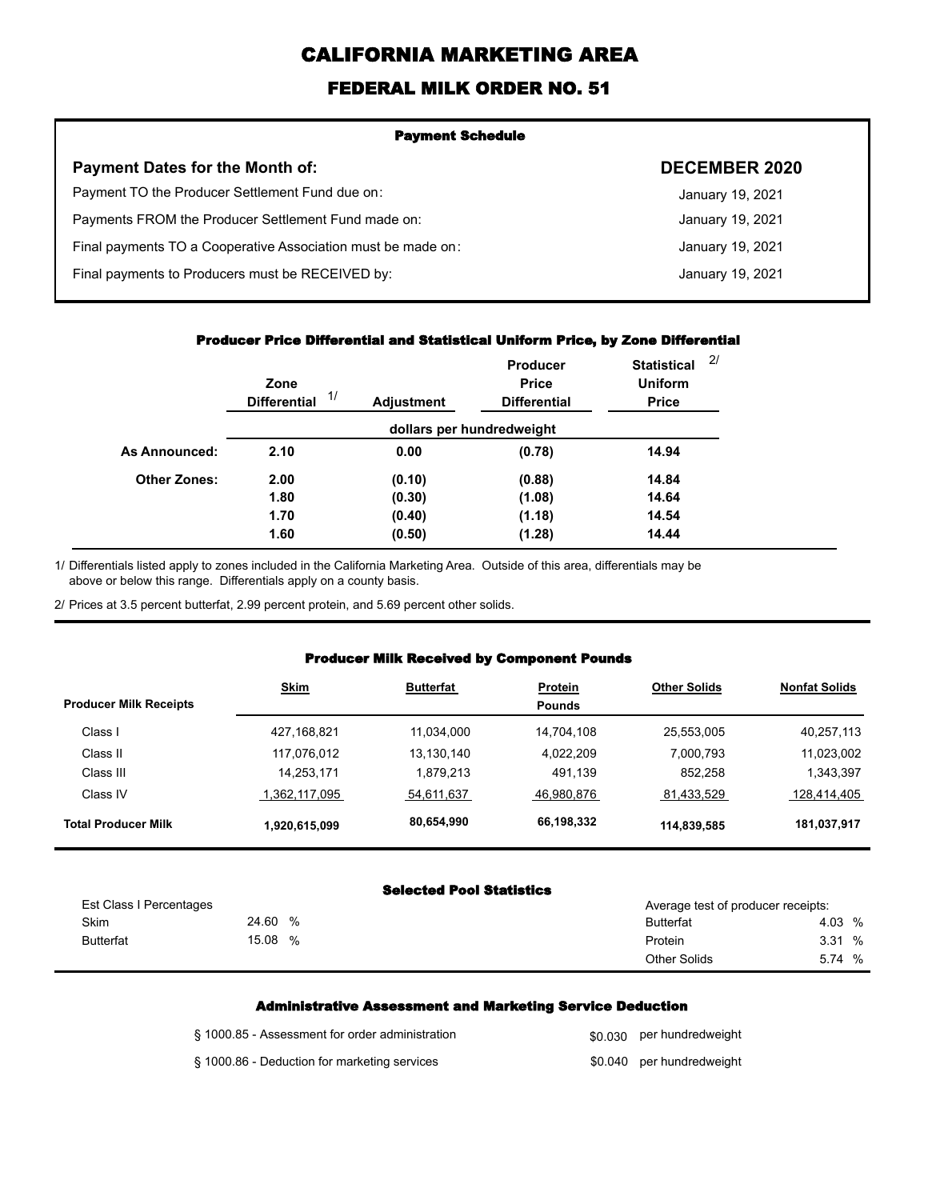# **CALIFORNIA MARKETING AREA**

## **FEDERAL MILK ORDER NO. 51**

| <b>Payment Schedule</b>                                      |                      |
|--------------------------------------------------------------|----------------------|
| <b>Payment Dates for the Month of:</b>                       | <b>DECEMBER 2020</b> |
| Payment TO the Producer Settlement Fund due on:              | January 19, 2021     |
| Payments FROM the Producer Settlement Fund made on:          | January 19, 2021     |
| Final payments TO a Cooperative Association must be made on: | January 19, 2021     |
| Final payments to Producers must be RECEIVED by:             | January 19, 2021     |
|                                                              |                      |

#### **Producer Price Differential and Statistical Uniform Price, by Zone Differential**

|                     | Zone<br>1/<br><b>Differential</b> | <b>Adjustment</b> | <b>Producer</b><br><b>Price</b><br><b>Differential</b> | <b>Statistical</b><br><b>Uniform</b><br><b>Price</b> | 2/ |
|---------------------|-----------------------------------|-------------------|--------------------------------------------------------|------------------------------------------------------|----|
|                     |                                   |                   | dollars per hundredweight                              |                                                      |    |
| As Announced:       | 2.10                              | 0.00              | (0.78)                                                 | 14.94                                                |    |
| <b>Other Zones:</b> | 2.00                              | (0.10)            | (0.88)                                                 | 14.84                                                |    |
|                     | 1.80                              | (0.30)            | (1.08)                                                 | 14.64                                                |    |
|                     | 1.70                              | (0.40)            | (1.18)                                                 | 14.54                                                |    |
|                     | 1.60                              | (0.50)            | (1.28)                                                 | 14.44                                                |    |

Differentials listed apply to zones included in the California Marketing Area. Outside of this area, differentials may be above or below this range. Differentials apply on a county basis. 1/

2/ Prices at 3.5 percent butterfat, 2.99 percent protein, and 5.69 percent other solids.

#### **Producer Milk Received by Component Pounds**

| <b>Producer Milk Receipts</b> | <b>Skim</b>   | <b>Butterfat</b> | <b>Protein</b><br><b>Pounds</b> | <b>Other Solids</b> | <b>Nonfat Solids</b> |
|-------------------------------|---------------|------------------|---------------------------------|---------------------|----------------------|
| Class I                       | 427,168,821   | 11,034,000       | 14.704.108                      | 25,553,005          | 40,257,113           |
| Class II                      | 117,076,012   | 13,130,140       | 4,022,209                       | 7,000,793           | 11,023,002           |
| Class III                     | 14,253,171    | 1,879,213        | 491,139                         | 852,258             | 1,343,397            |
| Class IV                      | 1,362,117,095 | 54,611,637       | 46,980,876                      | 81,433,529          | 128,414,405          |
| <b>Total Producer Milk</b>    | 1,920,615,099 | 80.654,990       | 66,198,332                      | 114,839,585         | 181,037,917          |

#### **Selected Pool Statistics**

| Est Class I Percentages |                  | Average test of producer receipts: |                     |        |
|-------------------------|------------------|------------------------------------|---------------------|--------|
|                         | <b>Skim</b>      | 24.60<br>%                         | <b>Butterfat</b>    | 4.03 % |
|                         | <b>Butterfat</b> | 15.08<br>%                         | Protein             | 3.31 % |
|                         |                  |                                    | <b>Other Solids</b> | 5.74 % |

#### **Administrative Assessment and Marketing Service Deduction**

| § 1000.85 - Assessment for order administration | \$0,030 per hundredweight |
|-------------------------------------------------|---------------------------|
| § 1000.86 - Deduction for marketing services    | \$0.040 per hundredweight |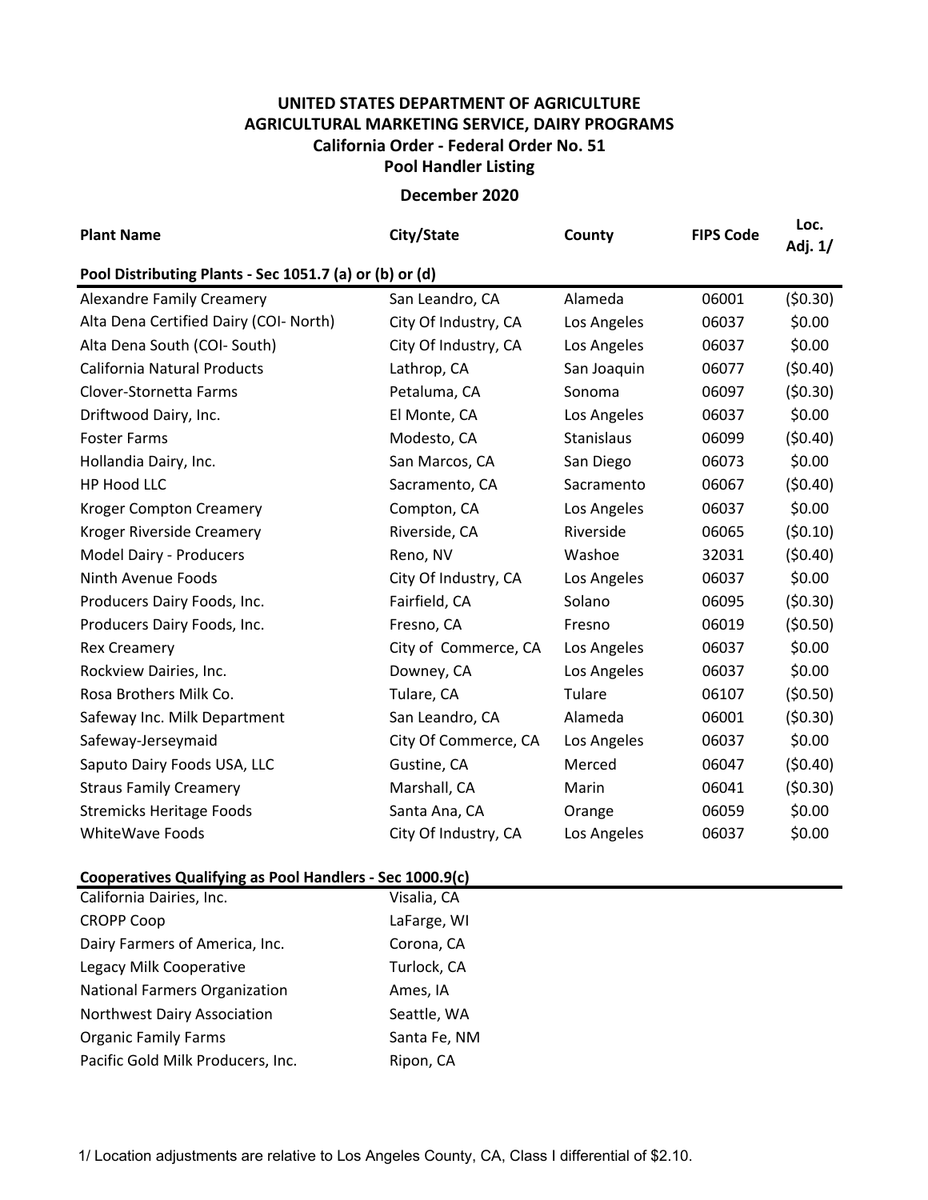## **UNITED STATES DEPARTMENT OF AGRICULTURE AGRICULTURAL MARKETING SERVICE, DAIRY PROGRAMS Pool Handler Listing California Order ‐ Federal Order No. 51**

**December 2020**

| <b>Plant Name</b>                                       | City/State           | County      | <b>FIPS Code</b> | Loc.<br>Adj. 1/ |  |  |  |  |  |
|---------------------------------------------------------|----------------------|-------------|------------------|-----------------|--|--|--|--|--|
| Pool Distributing Plants - Sec 1051.7 (a) or (b) or (d) |                      |             |                  |                 |  |  |  |  |  |
| <b>Alexandre Family Creamery</b>                        | San Leandro, CA      | Alameda     | 06001            | (50.30)         |  |  |  |  |  |
| Alta Dena Certified Dairy (COI- North)                  | City Of Industry, CA | Los Angeles | 06037            | \$0.00          |  |  |  |  |  |
| Alta Dena South (COI- South)                            | City Of Industry, CA | Los Angeles | 06037            | \$0.00          |  |  |  |  |  |
| <b>California Natural Products</b>                      | Lathrop, CA          | San Joaquin | 06077            | (50.40)         |  |  |  |  |  |
| Clover-Stornetta Farms                                  | Petaluma, CA         | Sonoma      | 06097            | (50.30)         |  |  |  |  |  |
| Driftwood Dairy, Inc.                                   | El Monte, CA         | Los Angeles | 06037            | \$0.00          |  |  |  |  |  |
| <b>Foster Farms</b>                                     | Modesto, CA          | Stanislaus  | 06099            | (50.40)         |  |  |  |  |  |
| Hollandia Dairy, Inc.                                   | San Marcos, CA       | San Diego   | 06073            | \$0.00          |  |  |  |  |  |
| HP Hood LLC                                             | Sacramento, CA       | Sacramento  | 06067            | (50.40)         |  |  |  |  |  |
| <b>Kroger Compton Creamery</b>                          | Compton, CA          | Los Angeles | 06037            | \$0.00          |  |  |  |  |  |
| Kroger Riverside Creamery                               | Riverside, CA        | Riverside   | 06065            | (50.10)         |  |  |  |  |  |
| Model Dairy - Producers                                 | Reno, NV             | Washoe      | 32031            | (50.40)         |  |  |  |  |  |
| Ninth Avenue Foods                                      | City Of Industry, CA | Los Angeles | 06037            | \$0.00          |  |  |  |  |  |
| Producers Dairy Foods, Inc.                             | Fairfield, CA        | Solano      | 06095            | (50.30)         |  |  |  |  |  |
| Producers Dairy Foods, Inc.                             | Fresno, CA           | Fresno      | 06019            | (50.50)         |  |  |  |  |  |
| <b>Rex Creamery</b>                                     | City of Commerce, CA | Los Angeles | 06037            | \$0.00          |  |  |  |  |  |
| Rockview Dairies, Inc.                                  | Downey, CA           | Los Angeles | 06037            | \$0.00          |  |  |  |  |  |
| Rosa Brothers Milk Co.                                  | Tulare, CA           | Tulare      | 06107            | (50.50)         |  |  |  |  |  |
| Safeway Inc. Milk Department                            | San Leandro, CA      | Alameda     | 06001            | (50.30)         |  |  |  |  |  |
| Safeway-Jerseymaid                                      | City Of Commerce, CA | Los Angeles | 06037            | \$0.00          |  |  |  |  |  |
| Saputo Dairy Foods USA, LLC                             | Gustine, CA          | Merced      | 06047            | (50.40)         |  |  |  |  |  |
| <b>Straus Family Creamery</b>                           | Marshall, CA         | Marin       | 06041            | (50.30)         |  |  |  |  |  |
| <b>Stremicks Heritage Foods</b>                         | Santa Ana, CA        | Orange      | 06059            | \$0.00          |  |  |  |  |  |
| <b>WhiteWave Foods</b>                                  | City Of Industry, CA | Los Angeles | 06037            | \$0.00          |  |  |  |  |  |

## **Cooperatives Qualifying as Pool Handlers ‐ Sec 1000.9(c)**

| California Dairies, Inc.             | Visalia, CA  |
|--------------------------------------|--------------|
| <b>CROPP Coop</b>                    | LaFarge, WI  |
| Dairy Farmers of America, Inc.       | Corona, CA   |
| Legacy Milk Cooperative              | Turlock, CA  |
| <b>National Farmers Organization</b> | Ames, IA     |
| Northwest Dairy Association          | Seattle, WA  |
| <b>Organic Family Farms</b>          | Santa Fe, NM |
| Pacific Gold Milk Producers, Inc.    | Ripon, CA    |

1/ Location adjustments are relative to Los Angeles County, CA, Class I differential of \$2.10.